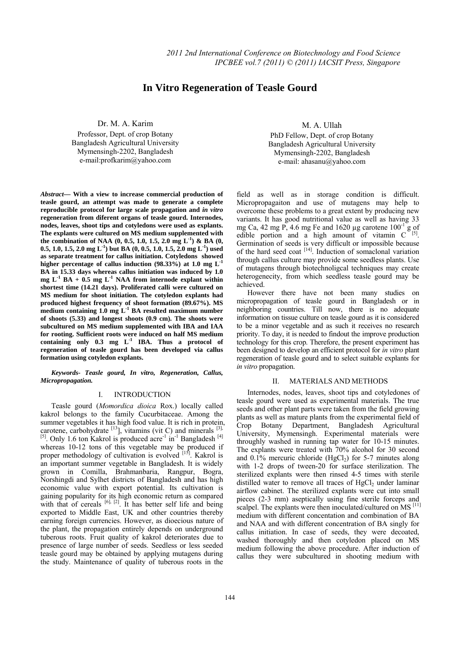# **In Vitro Regeneration of Teasle Gourd**

Dr. M. A. Karim

Professor, Dept. of crop Botany Bangladesh Agricultural University Mymensingh-2202, Bangladesh e-mail:profkarim@yahoo.com

*Abstract***— With a view to increase commercial production of teasle gourd, an attempt was made to generate a complete reproducible protocol for large scale propagation and** *in vitro* **regeneration from diferent organs of teasle gourd. Internodes, nodes, leaves, shoot tips and cotyledons were used as explants. The explants were cultured on MS medium supplemented with the combination of NAA (0, 0.5, 1.0, 1.5, 2.0 mg L-1) & BA (0, 0.5, 1.0, 1.5, 2.0 mg L-1) but BA (0, 0.5, 1.0, 1.5, 2.0 mg L-1) used as separate treatment for callus initiation. Cotyledons showed**  higher percentage of callus induction  $(98.33\%)$  at 1.0 mg L<sup>-1</sup> **BA in 15.33 days whereas callus initiation was induced by 1.0**   $mg L<sup>-1</sup> BA + 0.5 mg L<sup>-1</sup> NAA from internode explain withiin$ **shortest time (14.21 days). Proliferated calli were cultured on MS medium for shoot initiation. The cotyledon explants had produced highest frequency of shoot formation (89.67%). MS medium containing 1.0 mg L-1 BA resulted maximum number of shoots (5.33) and longest shoots (0.9 cm). The shoots were subcultured on MS medium supplemented with IBA and IAA for rooting. Sufficient roots were induced on half MS medium**  containing only 0.3 mg L<sup>-1</sup> IBA. Thus a protocol of **regeneration of teasle gourd has been developed via callus formation using cotyledon explants.**

*Keywords- Teasle gourd, In vitro, Regeneration, Callus, Micropropagation.* 

# I. INTRODUCTION

Teasle gourd (*Momordica dioica* Rox.) locally called kakrol belongs to the family Cucurbitaceae. Among the summer vegetables it has high food value. It is rich in protein, carotene, carbohydrate  $^{[13]}$ , vitamins (vit C) and minerals  $^{[3]}$ ,  $[5]$ . Only 1.6 ton Kakrol is produced acre<sup>-1</sup> in<sup>-1</sup> Bangladesh  $[4]$ whereas 10-12 tons of this vegetable may be produced if proper methodology of cultivation is evolved [15]. Kakrol is an important summer vegetable in Bangladesh. It is widely grown in Comilla, Brahmanbaria, Rangpur, Bogra, Norshingdi and Sylhet districts of Bangladesh and has high economic value with export potential. Its cultivation is gaining popularity for its high economic return as compared with that of cereals  $[6]$ ,  $[2]$ . It has better self life and being exported to Middle East, UK and other countries thereby earning foreign currencies. However, as dioecious nature of the plant, the propagation entirely depends on underground tuberous roots. Fruit quality of kakrol deteriorates due to presence of large number of seeds. Seedless or less seeded teasle gourd may be obtained by applying mutagens during the study. Maintenance of quality of tuberous roots in the

M. A. Ullah

PhD Fellow, Dept. of crop Botany Bangladesh Agricultural University Mymensingh-2202, Bangladesh e-mail: ahasanu@yahoo.com

field as well as in storage condition is difficult. Micropropagaiton and use of mutagens may help to overcome these problems to a great extent by producing new variants. It has good nutritional value as well as having 33 mg Ca, 42 mg P, 4.6 mg Fe and 1620 µg carotene  $100^{-1}$  g of edible portion and a high amount of vitamin  $C^{5}$ [5]. Germination of seeds is very difficult or impossible because of the hard seed coat <sup>[14]</sup>. Induction of somaclonal variation through callus culture may provide some seedless plants. Use of mutagens through biotechnoligcal techniques may create heterogenecity, from which seedless teasle gourd may be achieved.

However there have not been many studies on micropropagation of teasle gourd in Bangladesh or in neighboring countries. Till now, there is no adequate information on tissue culture on teasle gourd as it is considered to be a minor vegetable and as such it receives no research priority. To day, it is needed to findout the improve production technology for this crop. Therefore, the present experiment has been designed to develop an efficient protocol for *in vitro* plant regeneration of teasle gourd and to select suitable explants for *in vitro* propagation.

# II. MATERIALS AND METHODS

Internodes, nodes, leaves, shoot tips and cotyledones of teasle gourd were used as experimental materials. The true seeds and other plant parts were taken from the field growing plants as well as mature plants from the experimental field of Crop Botany Department, Bangladesh Agricultural University, Mymensingh. Experimental materials were throughly washed in running tap water for 10-15 minutes. The explants were treated with 70% alcohol for 30 second and  $0.1\%$  mercuric chloride (HgCl<sub>2</sub>) for 5-7 minutes along with 1-2 drops of tween-20 for surface sterilization. The sterilized explants were then rinsed 4-5 times with sterile distilled water to remove all traces of  $HgCl<sub>2</sub>$  under laminar airflow cabinet. The sterilized explants were cut into small pieces (2-3 mm) aseptically using fine sterile forceps and scalpel. The explants were then inoculated/cultured on MS [11] medium with different concentation and combination of BA and NAA and with different concentration of BA singly for callus initiation. In case of seeds, they were decoated, washed thoroughly and then cotyledon placed on MS medium following the above procedure. After induction of callus they were subcultured in shooting medium with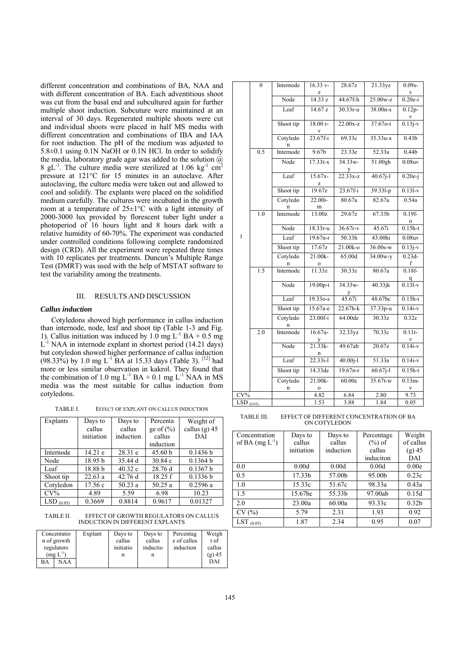different concentration and combinations of BA, NAA and with different concentration of BA. Each adventitious shoot was cut from the basal end and subcultured again for further multiple shoot induction. Subcuture were maintained at an interval of 30 days. Regenerated multiple shoots were cut and individual shoots were placed in half MS media with different concentration and combinations of IBA and IAA for root induction. The pH of the medium was adjusted to 5.8±0.1 using 0.1N NaOH or 0.1N HCl. In order to solidify the media, laboratory grade agar was added to the solution  $\omega$ 8 gL<sup>-1</sup>. The culture media were sterilized at 1.06 kg<sup>-1</sup> cm<sup>2</sup> pressure at 121°C for 15 minutes in an autoclave. After autoclaving, the culture media were taken out and allowed to cool and solidify. The explants were placed on the solidified medium carefully. The cultures were incubated in the growth room at a temperature of 25±1°C with a light intensity of 2000-3000 lux provided by florescent tuber light under a photoperiod of 16 hours light and 8 hours dark with a relative humidity of 60-70%. The experiment was conducted under controlled conditions following complete randomized design (CRD). All the experiment were repeated three times with 10 replicates per treatments. Duncun's Multiple Range Test (DMRT) was used with the help of MSTAT software to test the variability among the treatments.

### III. RESULTS AND DISCUSSION

### *Callus induction*

Cotyledons showed high performance in callus induction than internode, node, leaf and shoot tip (Table 1-3 and Fig. 1). Callus initiation was induced by  $1.0 \text{ mg L}^{-1} \text{ BA} + 0.5 \text{ mg}$  $L^{-1}$  NAA in internode explant in shortest period (14.21 days) but cotyledon showed higher performance of callus induction (98.33%) by 1.0 mg L<sup>-1</sup> BA at 15.33 days (Table 3). <sup>[12]</sup> had more or less similar observation in kakrol. They found that the combination of 1.0 mg  $L^{-1}$  BA + 0.1 mg  $L^{-1}$  NAA in MS media was the most suitable for callus induction from cotyledons.

TABLE I. EFFECT OF EXPLANT ON CALLUS INDUCTION

| Explants      | Days to            | Days to   | Percenta      | Weight of       |
|---------------|--------------------|-----------|---------------|-----------------|
|               | callus             | callus    | ge of $(\% )$ | callus $(g)$ 45 |
|               | initiation         | induction | callus        | DAI             |
|               |                    |           | induction     |                 |
| Internode     | 14.21 e            | 28.31 e   | 45.60 b       | 0.1436 b        |
| Node          | 18.95 <sub>b</sub> | 35.44 d   | 30.84c        | 0.1364 b        |
| Leaf          | 18.88 b            | 40.32c    | 28.76 d       | 0.1367 b        |
| Shoot tip     | 22.63a             | 42.76d    | 18.25 f       | 0.1336 b        |
| Cotyledon     | 17.56c             | 50.23a    | 50.25a        | 0.2596a         |
| $CV\%$        | 4.89               | 5.59      | 6.98          | 10.23           |
| LSD<br>(0.05) | 0.3669             | 0.8814    | 0.9617        | 0.01327         |

TABLE II. EFFECT OF GROWTH REGULATORS ON CALLUS INDUCTION IN DIFFERENT EXPLANTS

|    | Concentatio<br>n of growth<br>regulators<br>(mg $\mathrm{L}^\text{-1})$ | Explant | Days to<br>callus<br>initiatio<br>n | Days to<br>callus<br>inductio<br>n | Percentag<br>e of callus<br>induction | Weigh<br>t of<br>callus<br>$(g)$ 45 |
|----|-------------------------------------------------------------------------|---------|-------------------------------------|------------------------------------|---------------------------------------|-------------------------------------|
| BA | NAA                                                                     |         |                                     |                                    |                                       | DAI                                 |

|                                  | $\boldsymbol{0}$ | Internode     | $16.33 v -$            | 28.67z               | 21.33yz    | $0.09s -$                            |
|----------------------------------|------------------|---------------|------------------------|----------------------|------------|--------------------------------------|
|                                  |                  |               | Z                      |                      |            |                                      |
|                                  |                  | Node          | 14.33 z                | 44.67f-h             | $25.00w-z$ | $0.20e-i$                            |
|                                  |                  | Leaf          | 14.67 z                | $30.33r - u$         | $38.00n-s$ | $0.12p -$                            |
|                                  |                  | Shoot tip     | $18.00r -$             | $22.00x-z$           | 37.67o-t   | $\frac{v}{0.13j-v}$                  |
|                                  |                  | Cotyledo<br>n | $\frac{v}{23.67f-i}$   | 69.33c               | $35.33u-x$ | 0.43 <sub>b</sub>                    |
|                                  | 0.5              | Internode     | 9.67 <sub>b</sub>      | 23.33e               | 52.33a     | 0.44 <sub>b</sub>                    |
|                                  |                  | Node          | $17.33t-x$             | $34.33w -$           | 51.00gh    | 0.08uv                               |
|                                  |                  | Leaf          | $15.67x -$<br>z        | $\frac{y}{22.33x-z}$ | $40.67j-1$ | $0.20e-i$                            |
|                                  |                  | Shoot tip     | 19.67z                 | $23.67f - i$         | 39.331-p   | $0.131-v$                            |
|                                  |                  | Cotyledo<br>n | 22.00i-<br>m           | 80.67a               | 82.67a     | 0.54a                                |
|                                  | 1.0              | Internode     | 13.00z                 | 29.67z               | 67.33b     | $0.19f -$                            |
|                                  |                  | Node          | $18.33r-u$             | $36.67r-v$           | 45.67i     | $\frac{0}{0.15h-t}$                  |
| $\mathbf{1}$                     |                  | Leaf          | $19.67n-r$             | 50.33h               | 43.00hi    | 0.08uv                               |
|                                  |                  | Shoot tip     | 17.67z                 | 21.00k-o             | $36.00s-w$ | $0.13j-v$                            |
|                                  |                  | Cotyledo<br>n | 21.00k-<br>0           | 65.00d               | 34.00w-y   | $0.23d -$<br>f                       |
|                                  | 1.5              | Internode     | 11.33z                 | 30.33z               | 80.67a     | $0.18f -$                            |
|                                  |                  | Node          | 19.00p-t               | 34.33w-<br>y         | 40.33jk    | $\frac{q}{0.131-v}$                  |
|                                  |                  | Leaf          | $19.33o-s$             | 45.67i               | 48.67bc    | $0.15h-t$                            |
|                                  |                  | Shoot tip     | 15.67a-e               | $22.67h-k$           | 37.33p-u   | $0.14i-v$                            |
|                                  |                  | Cotyledo<br>n | $23.00f - i$           | 64.00de              | 30.33z     | 0.32c                                |
|                                  | 2.0              | Internode     | $16.67u -$<br>y        | 32.33yz              | 70.33c     | $0.11r -$<br>v                       |
|                                  |                  | Node          | $21.33k -$<br>n        | 49.67ab              | 20.67z     | $\overline{0.14i-v}$                 |
|                                  |                  | Leaf          | $22.33i-1$             | $40.00j-1$           | 51.33a     | $0.14i-v$                            |
|                                  |                  | Shoot tip     | 14.33de                | $19.67n-r$           | $60.67j-1$ | $0.15h-t$                            |
|                                  |                  | Cotyledo<br>n | 21.00k-<br>$\mathbf 0$ | 60.00e               | $35.67t-w$ | $0.13m -$<br>$\overline{\mathbf{V}}$ |
| $CV\%$                           |                  |               | 4.82                   | 6.84                 | 2.80       | 9.73                                 |
| $\overline{\text{LSD}}_{(0.05)}$ |                  |               | 1.53                   | 3.88                 | 1.84       | 0.05                                 |

TABLE III. EFFECT OF DIFFERENT CONCENTRATION OF BA ON COTYLEDON

| Concentration       | Days to    | Days to   | Percentage | Weight            |
|---------------------|------------|-----------|------------|-------------------|
| of BA $(mg L^{-1})$ | callus     | callus    | $(\%)$ of  | of callus         |
|                     | initiation | induction | callus     | $(g)$ 45          |
|                     |            |           | induciton  | DAI               |
| 0.0                 | 0.00d      | 0.00d     | 0.00d      | 0.00e             |
| 0.5                 | 17.33b     | 57.00b    | 95.00b     | 0.23c             |
| 1.0                 | 15.33c     | 51.67c    | 98.33a     | 0.43a             |
| 1.5                 | 15.67bc    | 55.33b    | 97.00ab    | 0.15d             |
| 2.0                 | 23.00a     | 60.00a    | 93.33c     | 0.32 <sub>b</sub> |
| CV(%)               | 5.79       | 2.31      | 1.93       | 0.92              |
| LST<br>(0.05)       | 1.87       | 2.34      | 0.95       | 0.07              |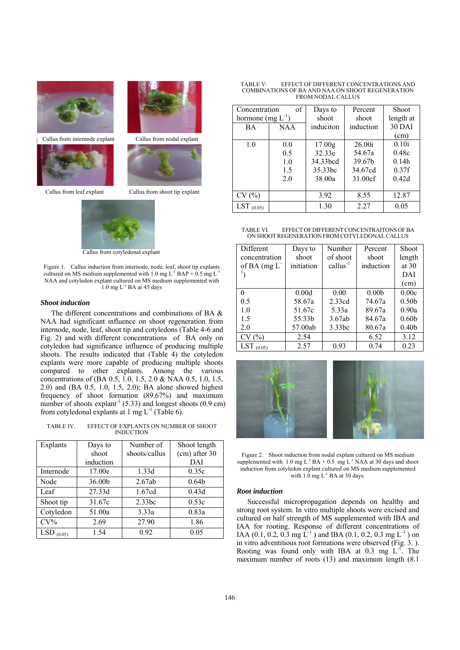



Callus from internode explant Callus from nodal explant



Callus from leaf explant Callus from shoot tip explant



Callus from cotyledonal explant

Figure 1. Callus induction from internode, node, leaf, shoot tip explants cultured on MS medium supplemented with 1.0 mg  $L^{-1}$  BAP + 0.5 mg  $L^{-1}$ NAA and cotyledon explant cultured on MS medium supplemented with 1.0 mg  $L^{-1}$  BA at 45 days

# *Shoot induction*

The different concentrations and combinations of BA & NAA had significant influence on shoot regeneration from internode, node, leaf, shoot tip and cotyledons (Table 4-6 and Fig. 2) and with different concentrations of BA only on cotyledon had significance influence of producing multiple shoots. The results indicated that (Table 4) the cotyledon explants were more capable of producing multiple shoots compared to other explants. Among the various concentrations of (BA 0.5, 1.0, 1.5, 2.0 & NAA 0.5, 1.0, 1.5, 2.0) and (BA 0.5, 1.0, 1.5, 2.0); BA alone showed highest frequency of shoot formation (89.67%) and maximum number of shoots explant<sup>-1</sup> (5.33) and longest shoots (0.9 cm) from cotyledonal explants at 1 mg  $L^{-1}$  (Table 6).

TABLE IV. EFFECT OF EXPLANTS ON NUMBER OF SHOOT INDUCTION

| Explants      | Days to   | Number of     | Shoot length      |
|---------------|-----------|---------------|-------------------|
|               | shoot     | shoots/callus | (cm) after 30     |
|               | induction |               | DAI               |
| Internode     | 17.00e    | 1.33d         | 0.35c             |
| Node          | 36.00b    | 2.67ab        | 0.64 <sub>b</sub> |
| Leaf          | 27.33d    | 1.67cd        | 0.43d             |
| Shoot tip     | 31.67c    | 2.33bc        | 0.53c             |
| Cotyledon     | 51.00a    | 3.33a         | 0.83a             |
| $CV\%$        | 2.69      | 27.90         | 1.86              |
| LSD<br>(0.05) | 1.54      | 0.92          | 0.05              |

TABLE V. EFFECT OF DIFFERENT CONCENTRATIONS AND COMBINATIONS OF BA AND NAA ON SHOOT REGENERATION FROM NODAL CALLUS

| Concentration          | of         | Days to             | Percent   | <b>Shoot</b> |
|------------------------|------------|---------------------|-----------|--------------|
| hormone (mg $L^{-1}$ ) |            | shoot               | shoot     | length at    |
| <b>BA</b>              | <b>NAA</b> | induciton           | induction | 30 DAI       |
|                        |            |                     |           | (cm)         |
| 1.0                    | 0.0        | 17.00 <sub>g</sub>  | 26.00i    | 0.10i        |
|                        | 0.5        | 32.33e              | 54.67a    | 0.48c        |
|                        | 1.0        | 34.33bcd            | 39.67b    | 0.14h        |
|                        | 1.5        | 35.33 <sub>bc</sub> | 34.67cd   | 0.37f        |
|                        | 2.0        | 38.00a              | 31.00ef   | 0.42d        |
|                        |            |                     |           |              |
| CV(%)                  |            | 3.92                | 8.55      | 12.87        |
| LST<br>(0.05)          |            | 1.30                | 2.27      | 0.05         |

#### TABLE VI. EFFECT OF DIFFERENT CONCENTRAITONS OF BA ON SHOOTREGENERATION FROM COTYLEDONAL CALLUS

| Different     | Days to    | Number        | Percent           | <b>Shoot</b>      |
|---------------|------------|---------------|-------------------|-------------------|
| concentration | shoot      | of shoot      | shoot             | length            |
| of BA (mg L   | initiation | $callus^{-1}$ | induction         | at $30$           |
|               |            |               |                   | DAI               |
|               |            |               |                   | (cm)              |
| 0             | 0.00d      | 0.00          | 0.00 <sub>b</sub> | 0.00c             |
| 0.5           | 58.67a     | 2.33cd        | 74.67a            | 0.50 <sub>b</sub> |
| 1.0           | 51.67c     | 5.33a         | 89.67a            | 0.90a             |
| 1.5           | 55.33b     | 3.67ab        | 84.67a            | 0.60 <sub>b</sub> |
| 2.0           | 57.00ab    | 3.33bc        | 80.67a            | 0.40 <sub>b</sub> |
| CV(%)         | 2.54       |               | 6.52              | 3.12              |
| LST<br>(0.05) | 2.57       | 0.93          | 0.74              | 0.23              |



Figure 2. Shoot induction from nodal explant cultured on MS medium supplemented with  $1.0 \text{ mg L}^{-1} \text{ BA} + 0.5 \text{ mg L}^{-1} \text{ NAA at 30 days and shoot}$ induction from cotyledon explant cultured on MS medium supplemented with  $1.0$  mg  $L^{-1}$  BA at 30 days.

### *Root induction*

Successful micropropagation depends on healthy and strong root system. In vitro multiple shoots were excised and cultured on half strength of MS supplemented with IBA and IAA for rooting. Response of different concentrations of IAA (0.1, 0.2, 0.3 mg  $\dot{L}^{-1}$ ) and IBA (0.1, 0.2, 0.3 mg  $L^{-1}$ ) on in vitro adventitious root formations were observed (Fig. 3. ). Rooting was found only with IBA at  $0.3$  mg  $L^{-1}$ . The maximum number of roots (13) and maximum length (8.1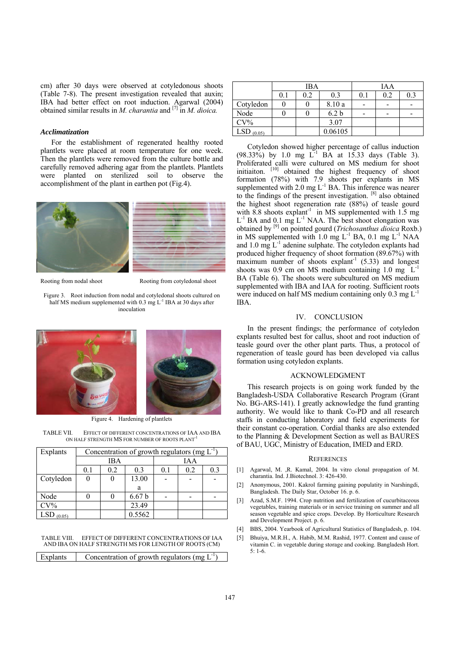cm) after 30 days were observed at cotyledonous shoots (Table 7-8). The present investigation revealed that auxin; IBA had better effect on root induction. Agarwal (2004) obtained similar results in *M. charantia* and [7] in *M. dioica.* 

# *Acclimatization*

For the establishment of regenerated healthy rooted plantlets were placed at room temperature for one week. Then the plantlets were removed from the culture bottle and carefully removed adhering agar from the plantlets. Plantlets were planted on sterilized soil to observe the accomplishment of the plant in earthen pot (Fig.4).



Rooting from nodal shoot Rooting from cotyledonal shoot

Figure 3. Root induction from nodal and cotyledonal shoots cultured on half MS medium supplemented with 0.3 mg L<sup>-1</sup> IBA at 30 days after inoculation



Figure 4. Hardening of plantlets

TABLE VII. EFFECT OF DIFFERENT CONCENTRATIONS OF IAA AND IBA ON HALF STRENGTH MS FOR NUMBER OF ROOTS PLANT

| Explants      | Concentration of growth regulators (mg $L^{-1}$ ) |     |                   |     |     |     |
|---------------|---------------------------------------------------|-----|-------------------|-----|-----|-----|
|               |                                                   | IBA |                   |     | IAA |     |
|               | 0.1                                               | 0.2 | 0.3               | 0.1 | 0.2 | 0.3 |
| Cotyledon     | 13.00                                             |     |                   |     |     |     |
|               |                                                   |     | a                 |     |     |     |
| Node          |                                                   |     | 6.67 <sub>b</sub> |     |     |     |
| $CV\%$        |                                                   |     | 23.49             |     |     |     |
| LSE<br>(0.05) |                                                   |     | 0.5562            |     |     |     |

| TABLE VIII. | EFFECT OF DIFFERENT CONCENTRATIONS OF IAA            |  |
|-------------|------------------------------------------------------|--|
|             | AND IBA ON HALF STRENGTH MS FOR LENGTH OF ROOTS (CM) |  |

|--|

|                      | <b>IBA</b> |     |                  | IAA |     |     |
|----------------------|------------|-----|------------------|-----|-----|-----|
|                      | 0.1        | 0.2 | 0.3              | 0.1 | 0.2 | 0.3 |
| Cotyledon            |            |     | 8.10 a           |     |     |     |
| Node                 |            |     | 6.2 <sub>b</sub> |     |     |     |
| $CV\%$               |            |     | 3.07             |     |     |     |
| <b>LSD</b><br>(0.05) |            |     | 0.06105          |     |     |     |

Cotyledon showed higher percentage of callus induction  $(98.33\%)$  by 1.0 mg  $L^{-1}$  BA at 15.33 days (Table 3). Proliferated calli were cultured on MS medium for shoot initiaiton. [10] obtained the highest frequency of shoot formation (78%) with 7.9 shoots per explants in MS supplemented with  $2.0 \text{ mg } L^{-1}$  BA. This inference was nearer to the findings of the present investigation. [8] also obtained the highest shoot regeneration rate (88%) of teasle gourd with 8.8 shoots  $explant^{-1}$  in MS supplemented with 1.5 mg  $L^{-1}$  BA and  $0.1$  mg  $L^{-1}$  NAA. The best shoot elongation was obtained by [9] on pointed gourd (*Trichosanthus dioica* Roxb.) in MS supplemented with  $1.0 \text{ mg } L^{-1}$  BA,  $0.1 \text{ mg } L^{-1}$  NAA and  $1.0 \text{ mg } L^{-1}$  adenine sulphate. The cotyledon explants had produced higher frequency of shoot formation (89.67%) with maximum number of shoots explant<sup>-1</sup>  $(5.33)$  and longest shoots was  $0.9$  cm on MS medium containing  $1.0$  mg  $L^-$ BA (Table 6). The shoots were subcultured on MS medium supplemented with IBA and IAA for rooting. Sufficient roots were induced on half MS medium containing only  $0.3 \text{ mg L}^{-1}$ IBA.

# IV. CONCLUSION

In the present findings; the performance of cotyledon explants resulted best for callus, shoot and root induction of teasle gourd over the other plant parts. Thus, a protocol of regeneration of teasle gourd has been developed via callus formation using cotyledon explants.

# ACKNOWLEDGMENT

This research projects is on going work funded by the Bangladesh-USDA Collaborative Research Program (Grant No. BG-ARS-141). I greatly acknowledge the fund granting authority. We would like to thank Co-PD and all research staffs in conducting laboratory and field experiments for their constant co-operation. Cordial thanks are also extended to the Planning & Development Section as well as BAURES of BAU, UGC, Ministry of Education, IMED and ERD.

# **REFERENCES**

- [1] Agarwal, M. ,R. Kamal, 2004. In vitro clonal propagation of M. charantia. Ind. J.Biotechnol. 3: 426-430.
- [2] Anonymous, 2001. Kakrol farming gaining populatity in Narshingdi, Bangladesh. The Daily Star, October 16. p. 6.
- [3] Azad, S.M.F. 1994. Crop nutrition and fertilization of cucurbitaceous vegetables, training materials or in service training on summer and all season vegetable and spice crops. Develop. By Horticulture Research and Development Project. p. 6.
- [4] BBS, 2004. Yearbook of Agricultural Statistics of Bangladesh, p. 104.
- [5] Bhuiya, M.R.H., A. Habib, M.M. Rashid, 1977. Content and cause of vitamin C. in vegetable during storage and cooking. Bangladesh Hort. 5: 1-6.